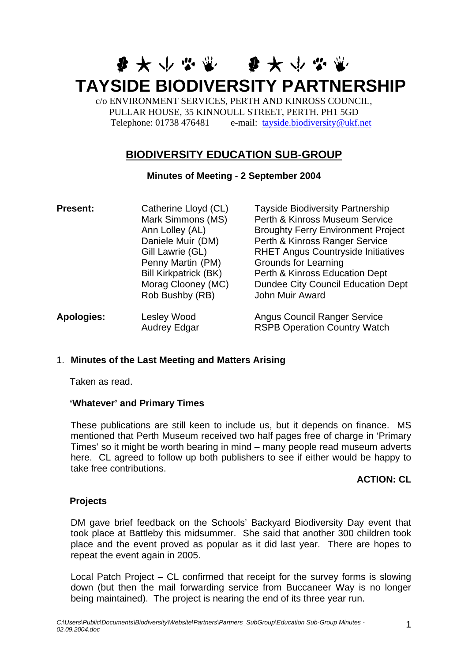# ●大小心业 ●大小心业 **TAYSIDE BIODIVERSITY PARTNERSHIP**

c/o ENVIRONMENT SERVICES, PERTH AND KINROSS COUNCIL, PULLAR HOUSE, 35 KINNOULL STREET, PERTH. PH1 5GD Telephone: 01738 476481 e-mail: [tayside.biodiversity@ukf.net](mailto:tayside.biodiversity@ukf.net)

# **BIODIVERSITY EDUCATION SUB-GROUP**

# **Minutes of Meeting - 2 September 2004**

**Present:** Catherine Lloyd (CL) Tayside Biodiversity Partnership Penny Martin (PM) Grounds for Learning Rob Bushby (RB) John Muir Award

 Mark Simmons (MS) Perth & Kinross Museum Service Ann Lolley (AL) Broughty Ferry Environment Project Daniele Muir (DM) Perth & Kinross Ranger Service Gill Lawrie (GL) RHET Angus Countryside Initiatives Bill Kirkpatrick (BK) Perth & Kinross Education Dept Morag Clooney (MC) Dundee City Council Education Dept

**Apologies:** Lesley Wood **Angus Council Ranger Service** Audrey Edgar RSPB Operation Country Watch

# 1. **Minutes of the Last Meeting and Matters Arising**

Taken as read.

# **'Whatever' and Primary Times**

These publications are still keen to include us, but it depends on finance. MS mentioned that Perth Museum received two half pages free of charge in 'Primary Times' so it might be worth bearing in mind – many people read museum adverts here. CL agreed to follow up both publishers to see if either would be happy to take free contributions.

# **ACTION: CL**

# **Projects**

DM gave brief feedback on the Schools' Backyard Biodiversity Day event that took place at Battleby this midsummer. She said that another 300 children took place and the event proved as popular as it did last year. There are hopes to repeat the event again in 2005.

Local Patch Project – CL confirmed that receipt for the survey forms is slowing down (but then the mail forwarding service from Buccaneer Way is no longer being maintained). The project is nearing the end of its three year run.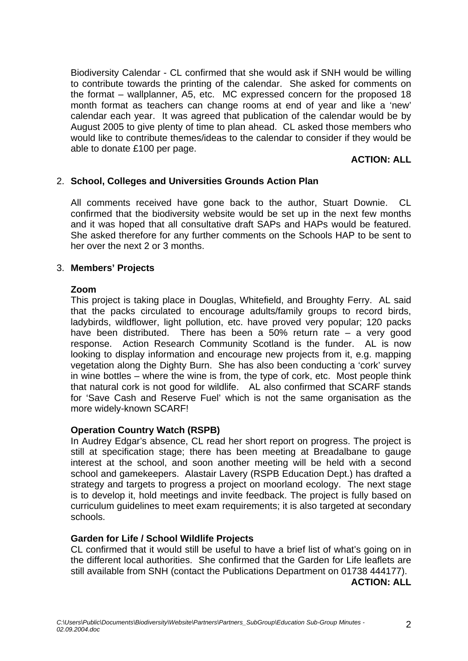Biodiversity Calendar - CL confirmed that she would ask if SNH would be willing to contribute towards the printing of the calendar. She asked for comments on the format – wallplanner, A5, etc. MC expressed concern for the proposed 18 month format as teachers can change rooms at end of year and like a 'new' calendar each year. It was agreed that publication of the calendar would be by August 2005 to give plenty of time to plan ahead. CL asked those members who would like to contribute themes/ideas to the calendar to consider if they would be able to donate £100 per page.

# **ACTION: ALL**

# 2. **School, Colleges and Universities Grounds Action Plan**

All comments received have gone back to the author, Stuart Downie. CL confirmed that the biodiversity website would be set up in the next few months and it was hoped that all consultative draft SAPs and HAPs would be featured. She asked therefore for any further comments on the Schools HAP to be sent to her over the next 2 or 3 months.

# 3. **Members' Projects**

#### **Zoom**

This project is taking place in Douglas, Whitefield, and Broughty Ferry. AL said that the packs circulated to encourage adults/family groups to record birds, ladybirds, wildflower, light pollution, etc. have proved very popular; 120 packs have been distributed. There has been a 50% return rate – a very good response. Action Research Community Scotland is the funder. AL is now looking to display information and encourage new projects from it, e.g. mapping vegetation along the Dighty Burn. She has also been conducting a 'cork' survey in wine bottles – where the wine is from, the type of cork, etc. Most people think that natural cork is not good for wildlife. AL also confirmed that SCARF stands for 'Save Cash and Reserve Fuel' which is not the same organisation as the more widely-known SCARF!

#### **Operation Country Watch (RSPB)**

In Audrey Edgar's absence, CL read her short report on progress. The project is still at specification stage; there has been meeting at Breadalbane to gauge interest at the school, and soon another meeting will be held with a second school and gamekeepers. Alastair Lavery (RSPB Education Dept.) has drafted a strategy and targets to progress a project on moorland ecology. The next stage is to develop it, hold meetings and invite feedback. The project is fully based on curriculum guidelines to meet exam requirements; it is also targeted at secondary schools.

# **Garden for Life / School Wildlife Projects**

CL confirmed that it would still be useful to have a brief list of what's going on in the different local authorities. She confirmed that the Garden for Life leaflets are still available from SNH (contact the Publications Department on 01738 444177).

 **ACTION: ALL**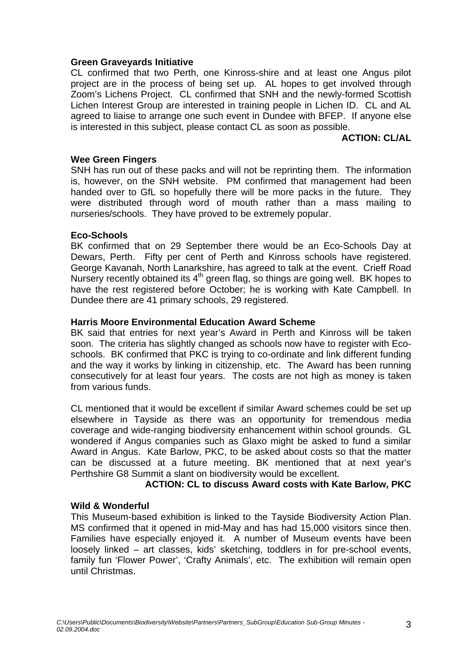### **Green Graveyards Initiative**

CL confirmed that two Perth, one Kinross-shire and at least one Angus pilot project are in the process of being set up. AL hopes to get involved through Zoom's Lichens Project. CL confirmed that SNH and the newly-formed Scottish Lichen Interest Group are interested in training people in Lichen ID. CL and AL agreed to liaise to arrange one such event in Dundee with BFEP. If anyone else is interested in this subject, please contact CL as soon as possible.

## **ACTION: CL/AL**

#### **Wee Green Fingers**

SNH has run out of these packs and will not be reprinting them. The information is, however, on the SNH website. PM confirmed that management had been handed over to GfL so hopefully there will be more packs in the future. They were distributed through word of mouth rather than a mass mailing to nurseries/schools. They have proved to be extremely popular.

#### **Eco-Schools**

BK confirmed that on 29 September there would be an Eco-Schools Day at Dewars, Perth. Fifty per cent of Perth and Kinross schools have registered. George Kavanah, North Lanarkshire, has agreed to talk at the event. Crieff Road Nursery recently obtained its  $4<sup>th</sup>$  green flag, so things are going well. BK hopes to have the rest registered before October; he is working with Kate Campbell. In Dundee there are 41 primary schools, 29 registered.

#### **Harris Moore Environmental Education Award Scheme**

BK said that entries for next year's Award in Perth and Kinross will be taken soon. The criteria has slightly changed as schools now have to register with Ecoschools. BK confirmed that PKC is trying to co-ordinate and link different funding and the way it works by linking in citizenship, etc. The Award has been running consecutively for at least four years. The costs are not high as money is taken from various funds.

CL mentioned that it would be excellent if similar Award schemes could be set up elsewhere in Tayside as there was an opportunity for tremendous media coverage and wide-ranging biodiversity enhancement within school grounds. GL wondered if Angus companies such as Glaxo might be asked to fund a similar Award in Angus. Kate Barlow, PKC, to be asked about costs so that the matter can be discussed at a future meeting. BK mentioned that at next year's Perthshire G8 Summit a slant on biodiversity would be excellent.

# **ACTION: CL to discuss Award costs with Kate Barlow, PKC**

# **Wild & Wonderful**

This Museum-based exhibition is linked to the Tayside Biodiversity Action Plan. MS confirmed that it opened in mid-May and has had 15,000 visitors since then. Families have especially enjoyed it. A number of Museum events have been loosely linked – art classes, kids' sketching, toddlers in for pre-school events, family fun 'Flower Power', 'Crafty Animals', etc. The exhibition will remain open until Christmas.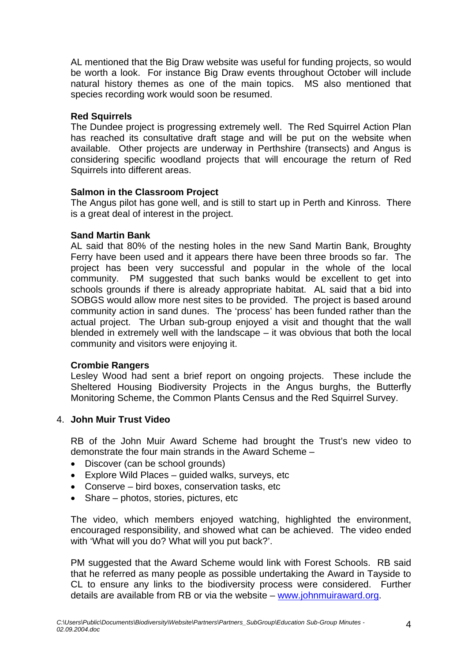AL mentioned that the Big Draw website was useful for funding projects, so would be worth a look. For instance Big Draw events throughout October will include natural history themes as one of the main topics. MS also mentioned that species recording work would soon be resumed.

# **Red Squirrels**

The Dundee project is progressing extremely well. The Red Squirrel Action Plan has reached its consultative draft stage and will be put on the website when available. Other projects are underway in Perthshire (transects) and Angus is considering specific woodland projects that will encourage the return of Red Squirrels into different areas.

#### **Salmon in the Classroom Project**

The Angus pilot has gone well, and is still to start up in Perth and Kinross. There is a great deal of interest in the project.

#### **Sand Martin Bank**

AL said that 80% of the nesting holes in the new Sand Martin Bank, Broughty Ferry have been used and it appears there have been three broods so far. The project has been very successful and popular in the whole of the local community. PM suggested that such banks would be excellent to get into schools grounds if there is already appropriate habitat. AL said that a bid into SOBGS would allow more nest sites to be provided. The project is based around community action in sand dunes. The 'process' has been funded rather than the actual project. The Urban sub-group enjoyed a visit and thought that the wall blended in extremely well with the landscape – it was obvious that both the local community and visitors were enjoying it.

# **Crombie Rangers**

Lesley Wood had sent a brief report on ongoing projects. These include the Sheltered Housing Biodiversity Projects in the Angus burghs, the Butterfly Monitoring Scheme, the Common Plants Census and the Red Squirrel Survey.

# 4. **John Muir Trust Video**

RB of the John Muir Award Scheme had brought the Trust's new video to demonstrate the four main strands in the Award Scheme –

- Discover (can be school grounds)
- Explore Wild Places guided walks, surveys, etc
- Conserve bird boxes, conservation tasks, etc
- Share photos, stories, pictures, etc

The video, which members enjoyed watching, highlighted the environment, encouraged responsibility, and showed what can be achieved. The video ended with 'What will you do? What will you put back?'.

PM suggested that the Award Scheme would link with Forest Schools. RB said that he referred as many people as possible undertaking the Award in Tayside to CL to ensure any links to the biodiversity process were considered. Further details are available from RB or via the website – [www.johnmuiraward.org](http://www.johnmuiraward.org/).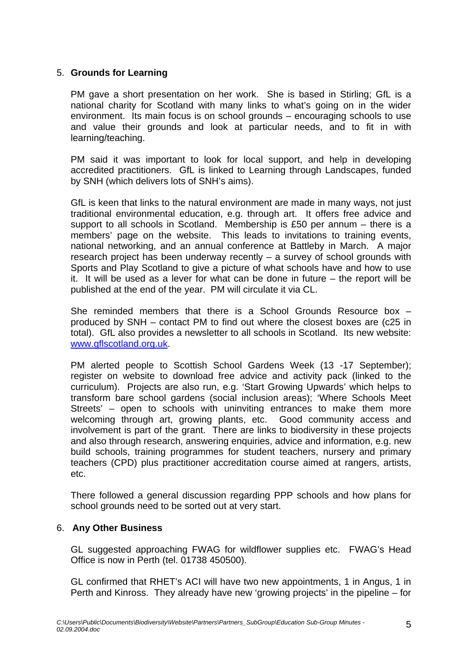# 5. **Grounds for Learning**

PM gave a short presentation on her work. She is based in Stirling; GfL is a national charity for Scotland with many links to what's going on in the wider environment. Its main focus is on school grounds – encouraging schools to use and value their grounds and look at particular needs, and to fit in with learning/teaching.

PM said it was important to look for local support, and help in developing accredited practitioners. GfL is linked to Learning through Landscapes, funded by SNH (which delivers lots of SNH's aims).

GfL is keen that links to the natural environment are made in many ways, not just traditional environmental education, e.g. through art. It offers free advice and support to all schools in Scotland. Membership is £50 per annum – there is a members' page on the website. This leads to invitations to training events, national networking, and an annual conference at Battleby in March. A major research project has been underway recently – a survey of school grounds with Sports and Play Scotland to give a picture of what schools have and how to use it. It will be used as a lever for what can be done in future – the report will be published at the end of the year. PM will circulate it via CL.

She reminded members that there is a School Grounds Resource box – produced by SNH – contact PM to find out where the closest boxes are (c25 in total). GfL also provides a newsletter to all schools in Scotland. Its new website: [www.gflscotland.org.uk](http://www.gflscotland.org.uk/).

PM alerted people to Scottish School Gardens Week (13 -17 September); register on website to download free advice and activity pack (linked to the curriculum). Projects are also run, e.g. 'Start Growing Upwards' which helps to transform bare school gardens (social inclusion areas); 'Where Schools Meet Streets' – open to schools with uninviting entrances to make them more welcoming through art, growing plants, etc. Good community access and involvement is part of the grant. There are links to biodiversity in these projects and also through research, answering enquiries, advice and information, e.g. new build schools, training programmes for student teachers, nursery and primary teachers (CPD) plus practitioner accreditation course aimed at rangers, artists, etc.

There followed a general discussion regarding PPP schools and how plans for school grounds need to be sorted out at very start.

# 6. **Any Other Business**

GL suggested approaching FWAG for wildflower supplies etc. FWAG's Head Office is now in Perth (tel. 01738 450500).

GL confirmed that RHET's ACI will have two new appointments, 1 in Angus, 1 in Perth and Kinross. They already have new 'growing projects' in the pipeline – for